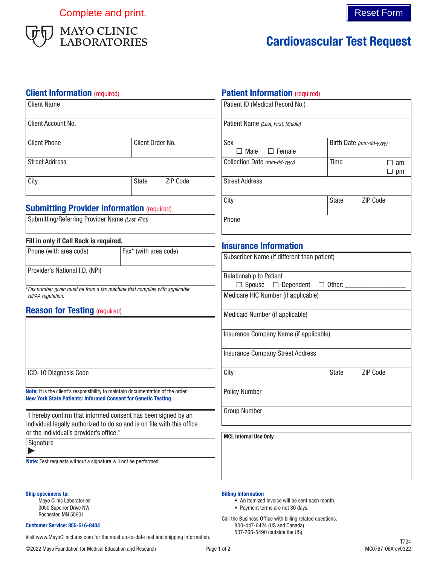Complete and print. The complete and print.



# Cardiovascular Test Request

### **Client Information** (required)

| <b>Client Name</b>    |                  |                 |
|-----------------------|------------------|-----------------|
| Client Account No.    |                  |                 |
| <b>Client Phone</b>   | Client Order No. |                 |
| <b>Street Address</b> |                  |                 |
| City                  | <b>State</b>     | <b>ZIP Code</b> |

### **Submitting Provider Information (required)**

| Submitting/Referring Provider Name (Last, First) |  |  |  |
|--------------------------------------------------|--|--|--|
|                                                  |  |  |  |

#### Fill in only if Call Back is required.

| Phone (with area code)         | Fax* (with area code) |
|--------------------------------|-----------------------|
| Provider's National I.D. (NPI) |                       |

\**Fax number given must be from a fax machine that complies with applicable HIPAA regulation.*

### **Reason for Testing (required)**

|  | ICD-10 Diagnosis Code |  |
|--|-----------------------|--|
|--|-----------------------|--|

Note: It is the client's responsibility to maintain documentation of the order. New York State Patients: Informed Consent for Genetic Testing

"I hereby confirm that informed consent has been signed by an individual legally authorized to do so and is on file with this office or the individual's provider's office."

**Signature** 

 $\blacktriangleright$ 

Note: Test requests without a signature will not be performed.

#### Ship specimens to:

Mayo Clinic Laboratories 3050 Superior Drive NW Rochester, MN 55901

#### Customer Service: 855-516-8404

Visit www.MayoClinicLabs.com for the most up-to-date test and shipping information.

# **Patient Information (required)**

| Patient ID (Medical Record No.)    |                         |          |  |
|------------------------------------|-------------------------|----------|--|
| Patient Name (Last, First, Middle) |                         |          |  |
| Sex                                | Birth Date (mm-dd-yyyy) |          |  |
| Male<br>$\Box$ Female              |                         |          |  |
| Collection Date (mm-dd-yyyy)       | Time                    | am       |  |
|                                    |                         | pm       |  |
| <b>Street Address</b>              |                         |          |  |
| City                               | State                   | ZIP Code |  |
| Phone                              |                         |          |  |

### Insurance Information

| Subscriber Name (if different than patient)        |              |                 |  |
|----------------------------------------------------|--------------|-----------------|--|
| <b>Relationship to Patient</b>                     |              |                 |  |
| $\Box$ Spouse $\Box$ Dependent $\Box$ Other: _____ |              |                 |  |
| Medicare HIC Number (if applicable)                |              |                 |  |
| Medicaid Number (if applicable)                    |              |                 |  |
| Insurance Company Name (if applicable)             |              |                 |  |
| <b>Insurance Company Street Address</b>            |              |                 |  |
| City                                               | <b>State</b> | <b>ZIP Code</b> |  |
| <b>Policy Number</b>                               |              |                 |  |
| <b>Group Number</b>                                |              |                 |  |
| <b>MCL Internal Use Only</b>                       |              |                 |  |

#### Billing Information

- An itemized invoice will be sent each month.
- Payment terms are net 30 days.

Call the Business Office with billing related questions: 800-447-6424 (US and Canada) 507-266-5490 (outside the US)